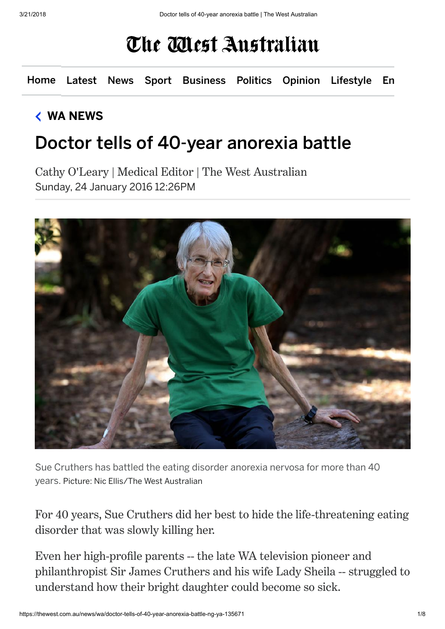## The Mest Australian

[Home](https://thewest.com.au/) [Latest](https://thewest.com.au/latest) [News](https://thewest.com.au/news) [Sport](https://thewest.com.au/sport) [Business](https://thewest.com.au/business) [Politics](https://thewest.com.au/politics) [Opinion](https://thewest.com.au/opinion) [Lifestyle](https://thewest.com.au/lifestyle) [En](https://thewest.com.au/entertainment)

## [WA NEWS](https://thewest.com.au/news/wa)

## Doctor tells of 40-year anorexia battle

Cathy O'Leary | Medical Editor | The West Australian Sunday, 24 January 2016 12:26PM



Sue Cruthers has battled the eating disorder anorexia nervosa for more than 40 years. Picture: Nic Ellis/The West Australian

For 40 years, Sue Cruthers did her best to hide the life-threatening eating disorder that was slowly killing her.

Even her high-profile parents -- the late WA television pioneer and philanthropist Sir James Cruthers and his wife Lady Sheila -- struggled to understand how their bright daughter could become so sick.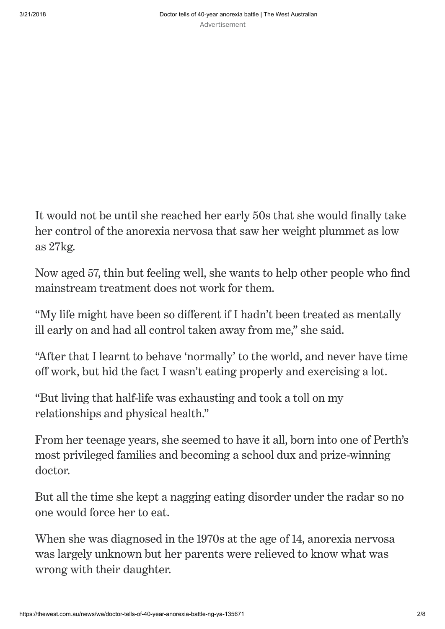It would not be until she reached her early 50s that she would finally take her control of the anorexia nervosa that saw her weight plummet as low as 27kg.

Now aged 57, thin but feeling well, she wants to help other people who find mainstream treatment does not work for them.

"My life might have been so different if I hadn't been treated as mentally ill early on and had all control taken away from me," she said.

"After that I learnt to behave ʻnormally' to the world, and never have time off work, but hid the fact I wasn't eating properly and exercising a lot.

"But living that half-life was exhausting and took a toll on my relationships and physical health."

From her teenage years, she seemed to have it all, born into one of Perth's most privileged families and becoming a school dux and prize-winning doctor.

But all the time she kept a nagging eating disorder under the radar so no one would force her to eat.

When she was diagnosed in the 1970s at the age of 14, anorexia nervosa was largely unknown but her parents were relieved to know what was wrong with their daughter.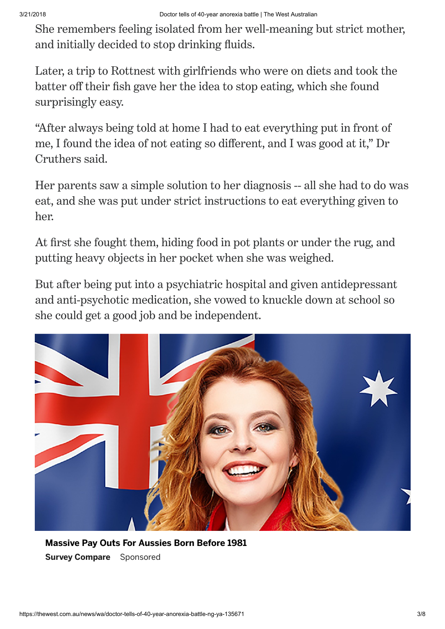She remembers feeling isolated from her well-meaning but strict mother, and initially decided to stop drinking fluids.

3/21/2018 Doctor tells of 40-year anorexia battle | The West Australian

Later, a trip to Rottnest with girlfriends who were on diets and took the batter off their fish gave her the idea to stop eating, which she found surprisingly easy.

"After always being told at home I had to eat everything put in front of me, I found the idea of not eating so different, and I was good at it," Dr Cruthers said.

Her parents saw a simple solution to her diagnosis -- all she had to do was eat, and she was put under strict instructions to eat everything given to her.

At first she fought them, hiding food in pot plants or under the rug, and putting heavy objects in her pocket when she was weighed.

But after being put into a psychiatric hospital and given antidepressant and anti-psychotic medication, she vowed to knuckle down at school so she could get a good job and be independent.